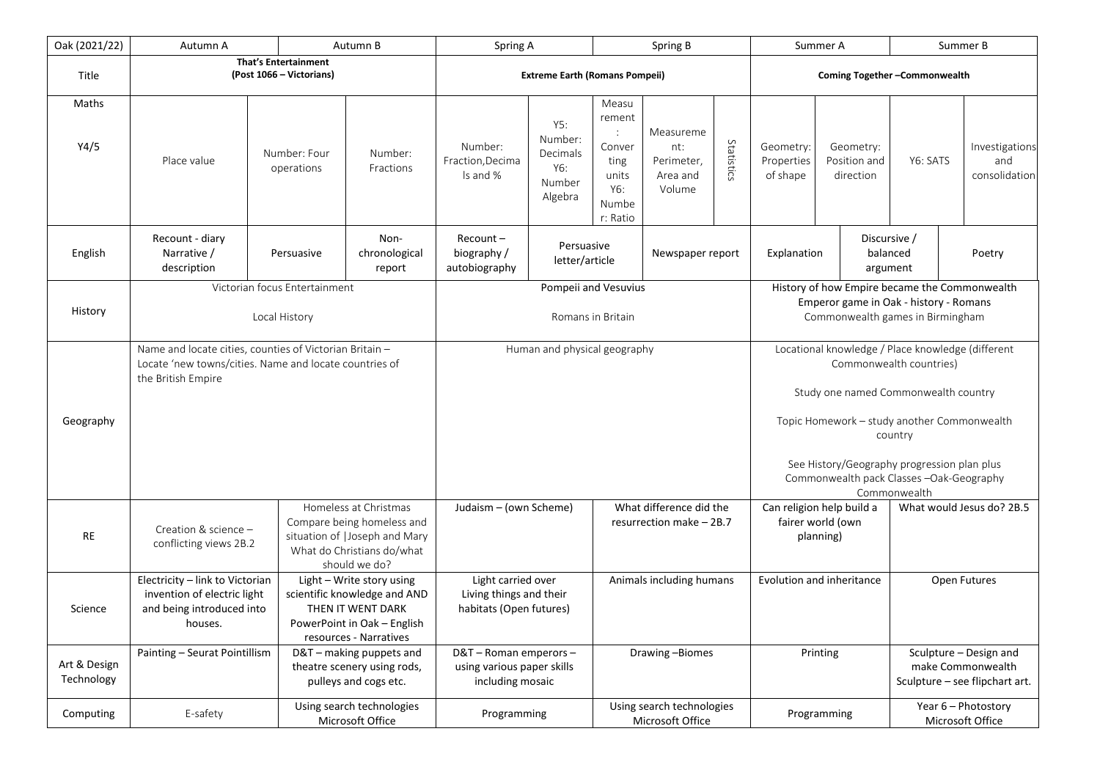| Oak (2021/22)              | Autumn A                                                                                                                                                                               |                                               | Autumn B                                                                                                                                | Spring A                                                                 |                                                        | Spring B                                                                                       |                                                      |                                                                                                                                                                                                                                                                                           | Summer A                            |                                        | Summer B                                                                      |                                        |
|----------------------------|----------------------------------------------------------------------------------------------------------------------------------------------------------------------------------------|-----------------------------------------------|-----------------------------------------------------------------------------------------------------------------------------------------|--------------------------------------------------------------------------|--------------------------------------------------------|------------------------------------------------------------------------------------------------|------------------------------------------------------|-------------------------------------------------------------------------------------------------------------------------------------------------------------------------------------------------------------------------------------------------------------------------------------------|-------------------------------------|----------------------------------------|-------------------------------------------------------------------------------|----------------------------------------|
| Title                      | That's Entertainment<br>(Post 1066 – Victorians)                                                                                                                                       |                                               |                                                                                                                                         | <b>Extreme Earth (Romans Pompeii)</b>                                    |                                                        |                                                                                                |                                                      | Coming Together-Commonwealth                                                                                                                                                                                                                                                              |                                     |                                        |                                                                               |                                        |
| Maths<br>Y4/5              | Place value                                                                                                                                                                            | Number: Four<br>operations                    | Number:<br>Fractions                                                                                                                    | Number:<br>Fraction, Decima<br>Is and %                                  | Y5:<br>Number:<br>Decimals<br>Y6:<br>Number<br>Algebra | Measu<br>rement<br>$\ddot{\phantom{a}}$<br>Conver<br>ting<br>units<br>Y6:<br>Numbe<br>r: Ratio | Measureme<br>nt:<br>Perimeter,<br>Area and<br>Volume | Statistics                                                                                                                                                                                                                                                                                | Geometry:<br>Properties<br>of shape | Geometry:<br>Position and<br>direction | Y6: SATS                                                                      | Investigations<br>and<br>consolidation |
| English                    | Recount - diary<br>Narrative /<br>description                                                                                                                                          | Persuasive                                    | Non-<br>chronological<br>report                                                                                                         | $Recount -$<br>biography /<br>autobiography                              | Persuasive<br>letter/article                           |                                                                                                | Newspaper report                                     |                                                                                                                                                                                                                                                                                           | Explanation                         |                                        | Discursive /<br>balanced<br>argument                                          | Poetry                                 |
| History                    | Victorian focus Entertainment<br>Local History                                                                                                                                         |                                               |                                                                                                                                         | Pompeii and Vesuvius<br>Romans in Britain                                |                                                        |                                                                                                |                                                      | History of how Empire became the Commonwealth<br>Emperor game in Oak - history - Romans<br>Commonwealth games in Birmingham                                                                                                                                                               |                                     |                                        |                                                                               |                                        |
| Geography                  | Name and locate cities, counties of Victorian Britain -<br>Locate 'new towns/cities. Name and locate countries of<br>the British Empire                                                |                                               |                                                                                                                                         | Human and physical geography                                             |                                                        |                                                                                                |                                                      | Locational knowledge / Place knowledge (different<br>Commonwealth countries)<br>Study one named Commonwealth country<br>Topic Homework - study another Commonwealth<br>country<br>See History/Geography progression plan plus<br>Commonwealth pack Classes -Oak-Geography<br>Commonwealth |                                     |                                        |                                                                               |                                        |
| <b>RE</b>                  | Homeless at Christmas<br>Compare being homeless and<br>Creation & science -<br>situation of   Joseph and Mary<br>conflicting views 2B.2<br>What do Christians do/what<br>should we do? |                                               | What difference did the<br>Judaism - (own Scheme)<br>resurrection make $-2B.7$                                                          |                                                                          |                                                        | What would Jesus do? 2B.5<br>Can religion help build a<br>fairer world (own<br>planning)       |                                                      |                                                                                                                                                                                                                                                                                           |                                     |                                        |                                                                               |                                        |
| Science                    | Electricity - link to Victorian<br>invention of electric light<br>and being introduced into<br>houses.                                                                                 |                                               | Light - Write story using<br>scientific knowledge and AND<br>THEN IT WENT DARK<br>PowerPoint in Oak - English<br>resources - Narratives | Light carried over<br>Living things and their<br>habitats (Open futures) |                                                        | Animals including humans                                                                       |                                                      | Evolution and inheritance                                                                                                                                                                                                                                                                 |                                     |                                        | Open Futures                                                                  |                                        |
| Art & Design<br>Technology | Painting - Seurat Pointillism                                                                                                                                                          |                                               | D&T - making puppets and<br>theatre scenery using rods,<br>pulleys and cogs etc.                                                        | D&T-Roman emperors-<br>using various paper skills<br>including mosaic    |                                                        | Drawing-Biomes                                                                                 |                                                      | Printing                                                                                                                                                                                                                                                                                  |                                     |                                        | Sculpture - Design and<br>make Commonwealth<br>Sculpture - see flipchart art. |                                        |
| Computing                  | E-safety                                                                                                                                                                               | Using search technologies<br>Microsoft Office |                                                                                                                                         | Programming                                                              |                                                        | Using search technologies<br>Microsoft Office                                                  |                                                      | Programming                                                                                                                                                                                                                                                                               |                                     |                                        | Year 6 - Photostory<br>Microsoft Office                                       |                                        |